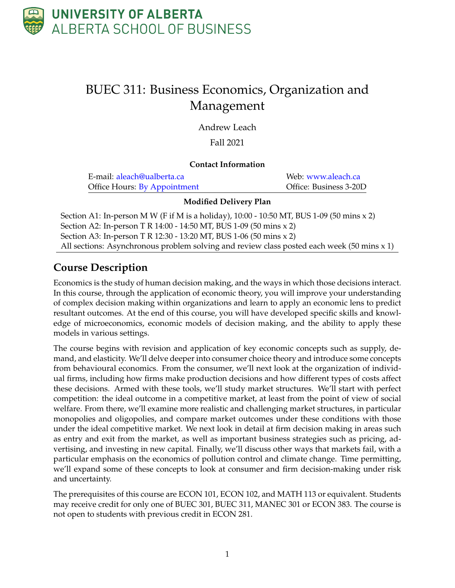

# BUEC 311: Business Economics, Organization and Management

Andrew Leach

#### Fall 2021

#### **Contact Information**

| E-mail: aleach@ualberta.ca   | Web: www.aleach.ca     |
|------------------------------|------------------------|
| Office Hours: By Appointment | Office: Business 3-20D |

#### **Modified Delivery Plan**

Section A1: In-person M W (F if M is a holiday), 10:00 - 10:50 MT, BUS 1-09 (50 mins x 2) Section A2: In-person T R 14:00 - 14:50 MT, BUS 1-09 (50 mins x 2) Section A3: In-person T R 12:30 - 13:20 MT, BUS 1-06 (50 mins x 2) All sections: Asynchronous problem solving and review class posted each week (50 mins x 1)

### **Course Description**

Economics is the study of human decision making, and the ways in which those decisions interact. In this course, through the application of economic theory, you will improve your understanding of complex decision making within organizations and learn to apply an economic lens to predict resultant outcomes. At the end of this course, you will have developed specific skills and knowledge of microeconomics, economic models of decision making, and the ability to apply these models in various settings.

The course begins with revision and application of key economic concepts such as supply, demand, and elasticity. We'll delve deeper into consumer choice theory and introduce some concepts from behavioural economics. From the consumer, we'll next look at the organization of individual firms, including how firms make production decisions and how different types of costs affect these decisions. Armed with these tools, we'll study market structures. We'll start with perfect competition: the ideal outcome in a competitive market, at least from the point of view of social welfare. From there, we'll examine more realistic and challenging market structures, in particular monopolies and oligopolies, and compare market outcomes under these conditions with those under the ideal competitive market. We next look in detail at firm decision making in areas such as entry and exit from the market, as well as important business strategies such as pricing, advertising, and investing in new capital. Finally, we'll discuss other ways that markets fail, with a particular emphasis on the economics of pollution control and climate change. Time permitting, we'll expand some of these concepts to look at consumer and firm decision-making under risk and uncertainty.

The prerequisites of this course are ECON 101, ECON 102, and MATH 113 or equivalent. Students may receive credit for only one of BUEC 301, BUEC 311, MANEC 301 or ECON 383. The course is not open to students with previous credit in ECON 281.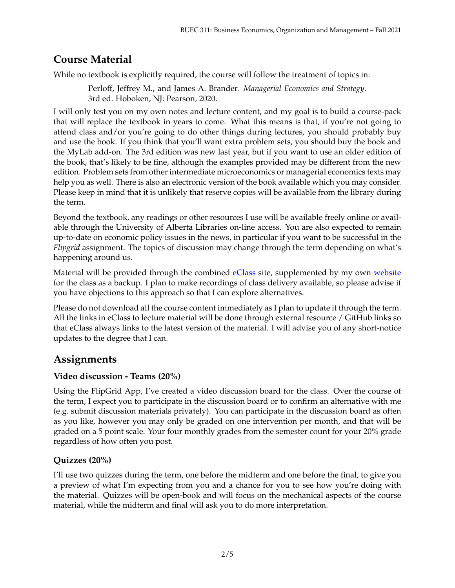### **Course Material**

While no textbook is explicitly required, the course will follow the treatment of topics in:

Perloff, Jeffrey M., and James A. Brander. *Managerial Economics and Strategy*. 3rd ed. Hoboken, NJ: Pearson, 2020.

I will only test you on my own notes and lecture content, and my goal is to build a course-pack that will replace the textbook in years to come. What this means is that, if you're not going to attend class and/or you're going to do other things during lectures, you should probably buy and use the book. If you think that you'll want extra problem sets, you should buy the book and the MyLab add-on. The 3rd edition was new last year, but if you want to use an older edition of the book, that's likely to be fine, although the examples provided may be different from the new edition. Problem sets from other intermediate microeconomics or managerial economics texts may help you as well. There is also an electronic version of the book available which you may consider. Please keep in mind that it is unlikely that reserve copies will be available from the library during the term.

Beyond the textbook, any readings or other resources I use will be available freely online or available through the University of Alberta Libraries on-line access. You are also expected to remain up-to-date on economic policy issues in the news, in particular if you want to be successful in the *Flipgrid* assignment. The topics of discussion may change through the term depending on what's happening around us.

Material will be provided through the combined [eClass](https://eclass.srv.ualberta.ca/course/view.php?id=70884) site, supplemented by my own [website](https://buec311.aleach.ca) for the class as a backup. I plan to make recordings of class delivery available, so please advise if you have objections to this approach so that I can explore alternatives.

Please do not download all the course content immediately as I plan to update it through the term. All the links in eClass to lecture material will be done through external resource / GitHub links so that eClass always links to the latest version of the material. I will advise you of any short-notice updates to the degree that I can.

### **Assignments**

#### **Video discussion - Teams (20%)**

Using the FlipGrid App, I've created a video discussion board for the class. Over the course of the term, I expect you to participate in the discussion board or to confirm an alternative with me (e.g. submit discussion materials privately). You can participate in the discussion board as often as you like, however you may only be graded on one intervention per month, and that will be graded on a 5 point scale. Your four monthly grades from the semester count for your 20% grade regardless of how often you post.

### **Quizzes (20%)**

I'll use two quizzes during the term, one before the midterm and one before the final, to give you a preview of what I'm expecting from you and a chance for you to see how you're doing with the material. Quizzes will be open-book and will focus on the mechanical aspects of the course material, while the midterm and final will ask you to do more interpretation.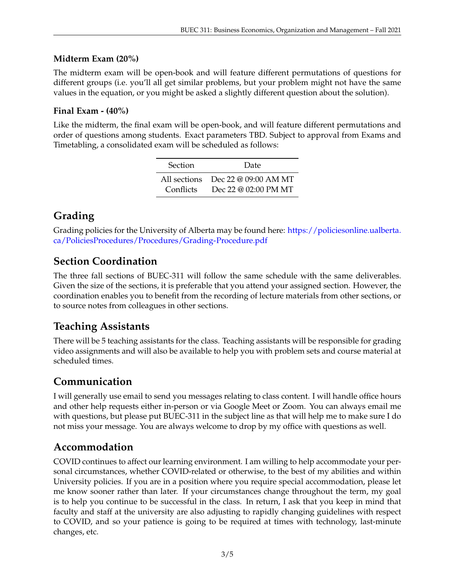#### **Midterm Exam (20%)**

The midterm exam will be open-book and will feature different permutations of questions for different groups (i.e. you'll all get similar problems, but your problem might not have the same values in the equation, or you might be asked a slightly different question about the solution).

#### **Final Exam - (40%)**

Like the midterm, the final exam will be open-book, and will feature different permutations and order of questions among students. Exact parameters TBD. Subject to approval from Exams and Timetabling, a consolidated exam will be scheduled as follows:

| <b>Section</b> | Date                                                        |
|----------------|-------------------------------------------------------------|
| Conflicts      | All sections Dec 22 @ 09:00 AM MT<br>Dec 22 @ $02:00$ PM MT |

# **Grading**

Grading policies for the University of Alberta may be found here: [https://policiesonline.ualberta.](https://policiesonline.ualberta.ca/PoliciesProcedures/Procedures/Grading-Procedure.pdf) [ca/PoliciesProcedures/Procedures/Grading-Procedure.pdf](https://policiesonline.ualberta.ca/PoliciesProcedures/Procedures/Grading-Procedure.pdf)

### **Section Coordination**

The three fall sections of BUEC-311 will follow the same schedule with the same deliverables. Given the size of the sections, it is preferable that you attend your assigned section. However, the coordination enables you to benefit from the recording of lecture materials from other sections, or to source notes from colleagues in other sections.

### **Teaching Assistants**

There will be 5 teaching assistants for the class. Teaching assistants will be responsible for grading video assignments and will also be available to help you with problem sets and course material at scheduled times.

### **Communication**

I will generally use email to send you messages relating to class content. I will handle office hours and other help requests either in-person or via Google Meet or Zoom. You can always email me with questions, but please put BUEC-311 in the subject line as that will help me to make sure I do not miss your message. You are always welcome to drop by my office with questions as well.

### **Accommodation**

COVID continues to affect our learning environment. I am willing to help accommodate your personal circumstances, whether COVID-related or otherwise, to the best of my abilities and within University policies. If you are in a position where you require special accommodation, please let me know sooner rather than later. If your circumstances change throughout the term, my goal is to help you continue to be successful in the class. In return, I ask that you keep in mind that faculty and staff at the university are also adjusting to rapidly changing guidelines with respect to COVID, and so your patience is going to be required at times with technology, last-minute changes, etc.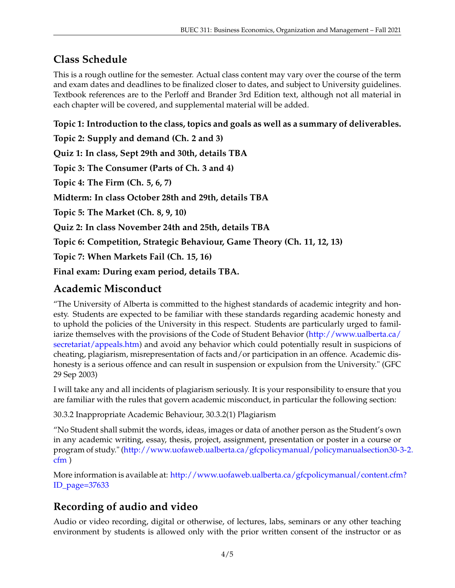# **Class Schedule**

This is a rough outline for the semester. Actual class content may vary over the course of the term and exam dates and deadlines to be finalized closer to dates, and subject to University guidelines. Textbook references are to the Perloff and Brander 3rd Edition text, although not all material in each chapter will be covered, and supplemental material will be added.

**Topic 1: Introduction to the class, topics and goals as well as a summary of deliverables.**

**Topic 2: Supply and demand (Ch. 2 and 3)**

**Quiz 1: In class, Sept 29th and 30th, details TBA**

**Topic 3: The Consumer (Parts of Ch. 3 and 4)**

**Topic 4: The Firm (Ch. 5, 6, 7)**

**Midterm: In class October 28th and 29th, details TBA**

**Topic 5: The Market (Ch. 8, 9, 10)**

**Quiz 2: In class November 24th and 25th, details TBA**

**Topic 6: Competition, Strategic Behaviour, Game Theory (Ch. 11, 12, 13)**

**Topic 7: When Markets Fail (Ch. 15, 16)**

**Final exam: During exam period, details TBA.**

### **Academic Misconduct**

"The University of Alberta is committed to the highest standards of academic integrity and honesty. Students are expected to be familiar with these standards regarding academic honesty and to uphold the policies of the University in this respect. Students are particularly urged to familiarize themselves with the provisions of the Code of Student Behavior [\(http://www.ualberta.ca/](http://www.ualberta.ca/secretariat/appeals.htm) [secretariat/appeals.htm\)](http://www.ualberta.ca/secretariat/appeals.htm) and avoid any behavior which could potentially result in suspicions of cheating, plagiarism, misrepresentation of facts and/or participation in an offence. Academic dishonesty is a serious offence and can result in suspension or expulsion from the University." (GFC 29 Sep 2003)

I will take any and all incidents of plagiarism seriously. It is your responsibility to ensure that you are familiar with the rules that govern academic misconduct, in particular the following section:

30.3.2 Inappropriate Academic Behaviour, 30.3.2(1) Plagiarism

"No Student shall submit the words, ideas, images or data of another person as the Student's own in any academic writing, essay, thesis, project, assignment, presentation or poster in a course or program of study." [\(http://www.uofaweb.ualberta.ca/gfcpolicymanual/policymanualsection30-3](http://www.uofaweb.ualberta.ca/gfcpolicymanual/policymanualsection30-3-2.cfm)-2. [cfm](http://www.uofaweb.ualberta.ca/gfcpolicymanual/policymanualsection30-3-2.cfm) )

More information is available at: [http://www.uofaweb.ualberta.ca/gfcpolicymanual/content.cfm](http://www.uofaweb.ualberta.ca/gfcpolicymanual/content.cfm?ID_page=37633)? [ID\\_page=37633](http://www.uofaweb.ualberta.ca/gfcpolicymanual/content.cfm?ID_page=37633)

# **Recording of audio and video**

Audio or video recording, digital or otherwise, of lectures, labs, seminars or any other teaching environment by students is allowed only with the prior written consent of the instructor or as